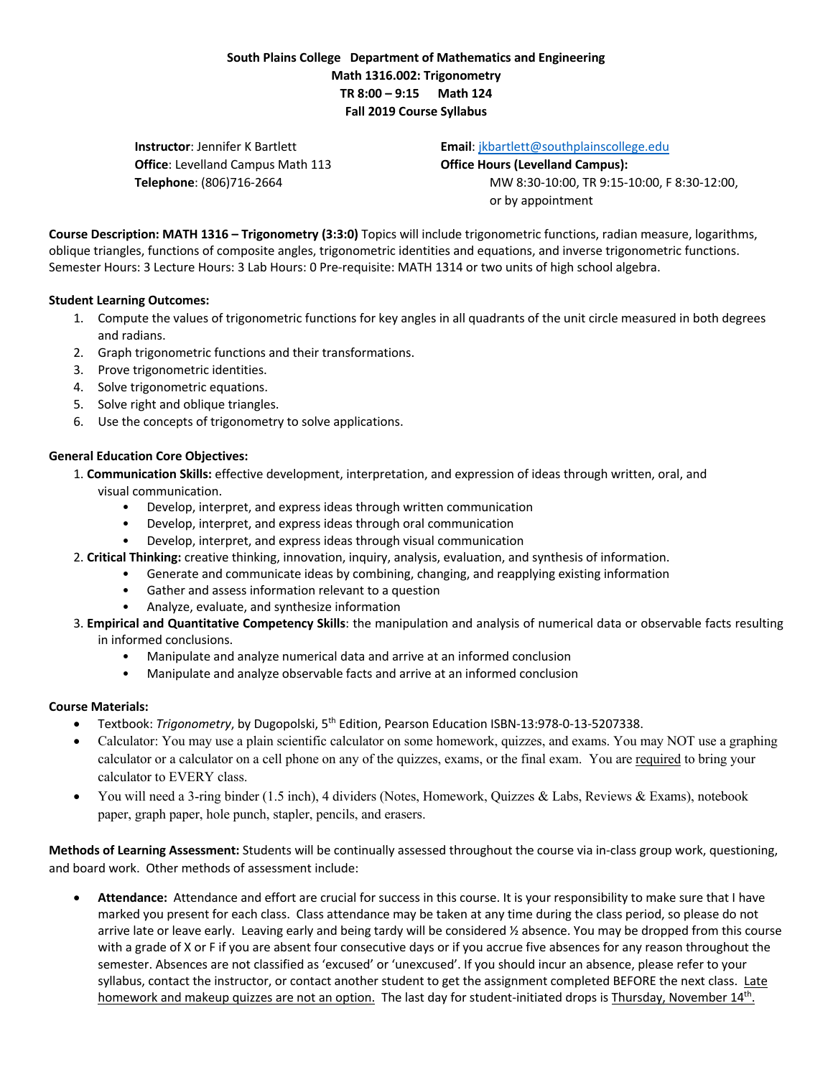## **South Plains College Department of Mathematics and Engineering Math 1316.002: Trigonometry TR 8:00 – 9:15 Math 124 Fall 2019 Course Syllabus**

**Office**: Levelland Campus Math 113 **Office Hours (Levelland Campus):**

**Instructor**: Jennifer K Bartlett **Email**: jkbartlett@southplainscollege.edu

**Telephone**: (806)716-2664 MW 8:30-10:00, TR 9:15-10:00, F 8:30-12:00, or by appointment

**Course Description: MATH 1316 – Trigonometry (3:3:0)** Topics will include trigonometric functions, radian measure, logarithms, oblique triangles, functions of composite angles, trigonometric identities and equations, and inverse trigonometric functions. Semester Hours: 3 Lecture Hours: 3 Lab Hours: 0 Pre-requisite: MATH 1314 or two units of high school algebra.

### **Student Learning Outcomes:**

- 1. Compute the values of trigonometric functions for key angles in all quadrants of the unit circle measured in both degrees and radians.
- 2. Graph trigonometric functions and their transformations.
- 3. Prove trigonometric identities.
- 4. Solve trigonometric equations.
- 5. Solve right and oblique triangles.
- 6. Use the concepts of trigonometry to solve applications.

### **General Education Core Objectives:**

- 1. **Communication Skills:** effective development, interpretation, and expression of ideas through written, oral, and
	- visual communication.
		- Develop, interpret, and express ideas through written communication
		- Develop, interpret, and express ideas through oral communication
		- Develop, interpret, and express ideas through visual communication
- 2. **Critical Thinking:** creative thinking, innovation, inquiry, analysis, evaluation, and synthesis of information.
	- Generate and communicate ideas by combining, changing, and reapplying existing information
		- Gather and assess information relevant to a question
		- Analyze, evaluate, and synthesize information
- 3. **Empirical and Quantitative Competency Skills**: the manipulation and analysis of numerical data or observable facts resulting in informed conclusions.
	- Manipulate and analyze numerical data and arrive at an informed conclusion
	- Manipulate and analyze observable facts and arrive at an informed conclusion

### **Course Materials:**

- Textbook: *Trigonometry*, by Dugopolski, 5th Edition, Pearson Education ISBN-13:978-0-13-5207338.
- Calculator: You may use a plain scientific calculator on some homework, quizzes, and exams. You may NOT use a graphing calculator or a calculator on a cell phone on any of the quizzes, exams, or the final exam. You are required to bring your calculator to EVERY class.
- You will need a 3-ring binder  $(1.5 \text{ inch})$ , 4 dividers (Notes, Homework, Quizzes & Labs, Reviews & Exams), notebook paper, graph paper, hole punch, stapler, pencils, and erasers.

**Methods of Learning Assessment:** Students will be continually assessed throughout the course via in-class group work, questioning, and board work. Other methods of assessment include:

• **Attendance:** Attendance and effort are crucial for success in this course. It is your responsibility to make sure that I have marked you present for each class. Class attendance may be taken at any time during the class period, so please do not arrive late or leave early. Leaving early and being tardy will be considered  $\frac{1}{2}$  absence. You may be dropped from this course with a grade of X or F if you are absent four consecutive days or if you accrue five absences for any reason throughout the semester. Absences are not classified as 'excused' or 'unexcused'. If you should incur an absence, please refer to your syllabus, contact the instructor, or contact another student to get the assignment completed BEFORE the next class. Late homework and makeup quizzes are not an option. The last day for student-initiated drops is Thursday, November 14<sup>th</sup>.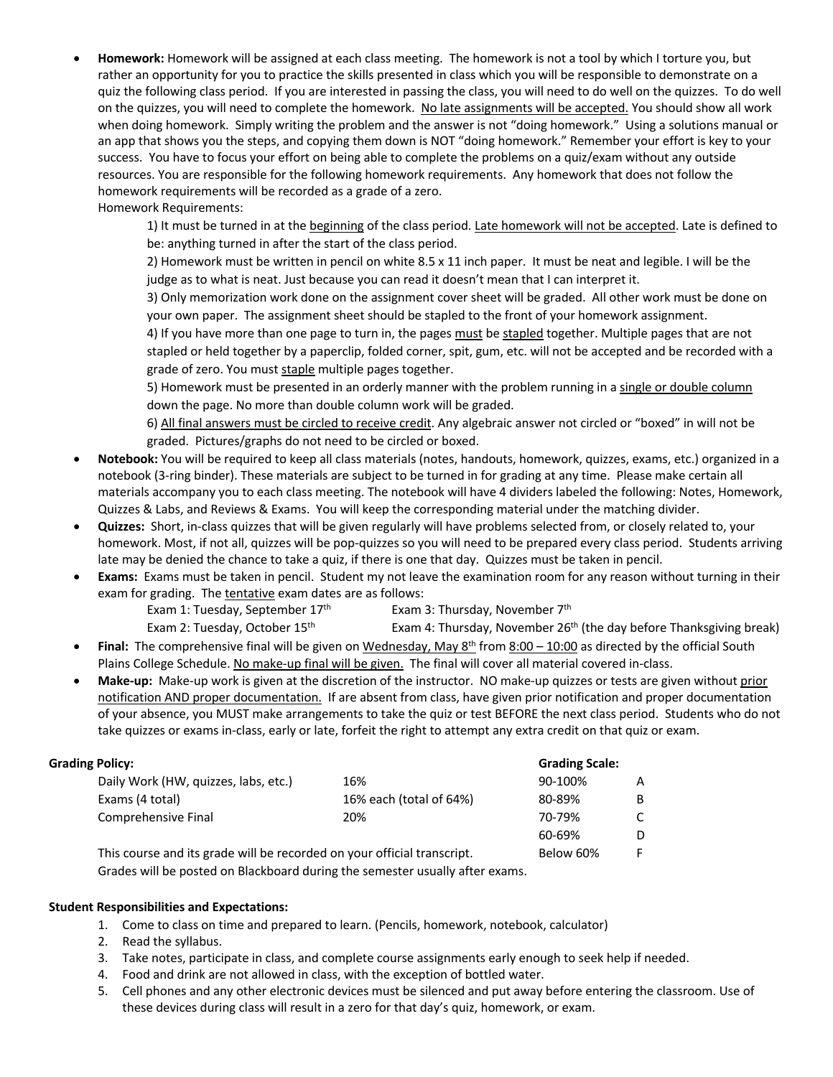• **Homework:** Homework will be assigned at each class meeting. The homework is not a tool by which I torture you, but rather an opportunity for you to practice the skills presented in class which you will be responsible to demonstrate on a quiz the following class period. If you are interested in passing the class, you will need to do well on the quizzes. To do well on the quizzes, you will need to complete the homework. No late assignments will be accepted. You should show all work when doing homework. Simply writing the problem and the answer is not "doing homework." Using a solutions manual or an app that shows you the steps, and copying them down is NOT "doing homework." Remember your effort is key to your success. You have to focus your effort on being able to complete the problems on a quiz/exam without any outside resources. You are responsible for the following homework requirements. Any homework that does not follow the homework requirements will be recorded as a grade of a zero.

Homework Requirements:

1) It must be turned in at the beginning of the class period. Late homework will not be accepted. Late is defined to be: anything turned in after the start of the class period.

2) Homework must be written in pencil on white 8.5 x 11 inch paper. It must be neat and legible. I will be the judge as to what is neat. Just because you can read it doesn't mean that I can interpret it.

3) Only memorization work done on the assignment cover sheet will be graded. All other work must be done on your own paper. The assignment sheet should be stapled to the front of your homework assignment.

4) If you have more than one page to turn in, the pages must be stapled together. Multiple pages that are not stapled or held together by a paperclip, folded corner, spit, gum, etc. will not be accepted and be recorded with a grade of zero. You must staple multiple pages together.

5) Homework must be presented in an orderly manner with the problem running in a single or double column down the page. No more than double column work will be graded.

6) All final answers must be circled to receive credit. Any algebraic answer not circled or "boxed" in will not be graded. Pictures/graphs do not need to be circled or boxed.

- **Notebook:** You will be required to keep all class materials (notes, handouts, homework, quizzes, exams, etc.) organized in a notebook (3-ring binder). These materials are subject to be turned in for grading at any time. Please make certain all materials accompany you to each class meeting. The notebook will have 4 dividers labeled the following: Notes, Homework, Quizzes & Labs, and Reviews & Exams. You will keep the corresponding material under the matching divider.
- **Quizzes:** Short, in-class quizzes that will be given regularly will have problems selected from, or closely related to, your homework. Most, if not all, quizzes will be pop-quizzes so you will need to be prepared every class period. Students arriving late may be denied the chance to take a quiz, if there is one that day. Quizzes must be taken in pencil.
- **Exams:** Exams must be taken in pencil. Student my not leave the examination room for any reason without turning in their exam for grading. The tentative exam dates are as follows:
	- Exam 1: Tuesday, September  $17<sup>th</sup>$  Exam 3: Thursday, November  $7<sup>th</sup>$

- Exam 2: Tuesday, October 15<sup>th</sup> Exam 4: Thursday, November 26<sup>th</sup> (the day before Thanksgiving break) • Final: The comprehensive final will be given on Wednesday, May 8<sup>th</sup> from 8:00 – 10:00 as directed by the official South Plains College Schedule. No make-up final will be given. The final will cover all material covered in-class.
- **Make-up:** Make-up work is given at the discretion of the instructor. NO make-up quizzes or tests are given without prior notification AND proper documentation. If are absent from class, have given prior notification and proper documentation of your absence, you MUST make arrangements to take the quiz or test BEFORE the next class period. Students who do not take quizzes or exams in-class, early or late, forfeit the right to attempt any extra credit on that quiz or exam.

| <b>Grading Policy:</b>               | <b>Grading Scale:</b>   |                                           |   |
|--------------------------------------|-------------------------|-------------------------------------------|---|
| Daily Work (HW, quizzes, labs, etc.) | 16%                     | 90-100%                                   | A |
| Exams (4 total)                      | 16% each (total of 64%) | 80-89%                                    | B |
| Comprehensive Final                  | 20%                     | 70-79%                                    | C |
|                                      |                         | 60-69%                                    | D |
|                                      |                         | $\sim$ $\sim$ $\sim$ $\sim$ $\sim$ $\sim$ |   |

This course and its grade will be recorded on your official transcript. This course 30% F Grades will be posted on Blackboard during the semester usually after exams.

### **Student Responsibilities and Expectations:**

- 1. Come to class on time and prepared to learn. (Pencils, homework, notebook, calculator)
- 2. Read the syllabus.
- 3. Take notes, participate in class, and complete course assignments early enough to seek help if needed.
- 4. Food and drink are not allowed in class, with the exception of bottled water.
- 5. Cell phones and any other electronic devices must be silenced and put away before entering the classroom. Use of these devices during class will result in a zero for that day's quiz, homework, or exam.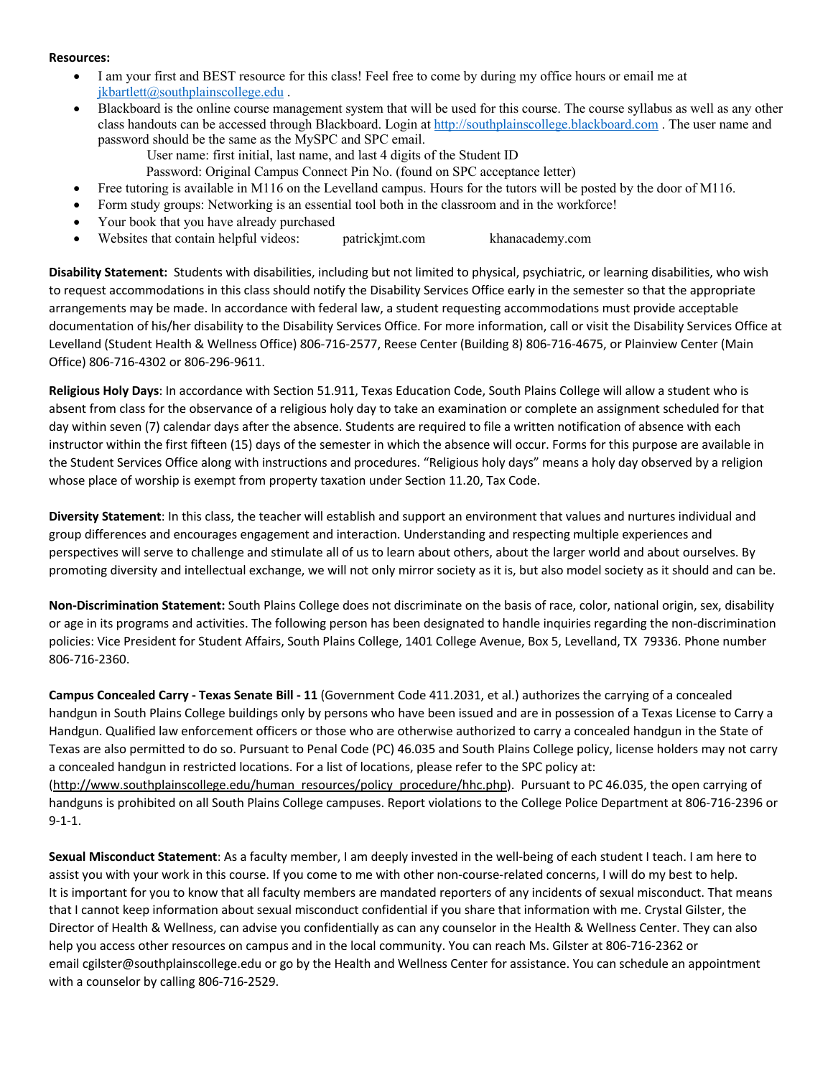### **Resources:**

- I am your first and BEST resource for this class! Feel free to come by during my office hours or email me at jkbartlett@southplainscollege.edu.
- Blackboard is the online course management system that will be used for this course. The course syllabus as well as any other class handouts can be accessed through Blackboard. Login at http://southplainscollege.blackboard.com . The user name and password should be the same as the MySPC and SPC email.
	- User name: first initial, last name, and last 4 digits of the Student ID
	- Password: Original Campus Connect Pin No. (found on SPC acceptance letter)
- Free tutoring is available in M116 on the Levelland campus. Hours for the tutors will be posted by the door of M116.
- Form study groups: Networking is an essential tool both in the classroom and in the workforce!
- Your book that you have already purchased
- Websites that contain helpful videos: patrickjmt.com khanacademy.com

**Disability Statement:** Students with disabilities, including but not limited to physical, psychiatric, or learning disabilities, who wish to request accommodations in this class should notify the Disability Services Office early in the semester so that the appropriate arrangements may be made. In accordance with federal law, a student requesting accommodations must provide acceptable documentation of his/her disability to the Disability Services Office. For more information, call or visit the Disability Services Office at Levelland (Student Health & Wellness Office) 806-716-2577, Reese Center (Building 8) 806-716-4675, or Plainview Center (Main Office) 806-716-4302 or 806-296-9611.

**Religious Holy Days**: In accordance with Section 51.911, Texas Education Code, South Plains College will allow a student who is absent from class for the observance of a religious holy day to take an examination or complete an assignment scheduled for that day within seven (7) calendar days after the absence. Students are required to file a written notification of absence with each instructor within the first fifteen (15) days of the semester in which the absence will occur. Forms for this purpose are available in the Student Services Office along with instructions and procedures. "Religious holy days" means a holy day observed by a religion whose place of worship is exempt from property taxation under Section 11.20, Tax Code.

**Diversity Statement**: In this class, the teacher will establish and support an environment that values and nurtures individual and group differences and encourages engagement and interaction. Understanding and respecting multiple experiences and perspectives will serve to challenge and stimulate all of us to learn about others, about the larger world and about ourselves. By promoting diversity and intellectual exchange, we will not only mirror society as it is, but also model society as it should and can be.

**Non-Discrimination Statement:** South Plains College does not discriminate on the basis of race, color, national origin, sex, disability or age in its programs and activities. The following person has been designated to handle inquiries regarding the non-discrimination policies: Vice President for Student Affairs, South Plains College, 1401 College Avenue, Box 5, Levelland, TX 79336. Phone number 806-716-2360.

**Campus Concealed Carry - Texas Senate Bill - 11** (Government Code 411.2031, et al.) authorizes the carrying of a concealed handgun in South Plains College buildings only by persons who have been issued and are in possession of a Texas License to Carry a Handgun. Qualified law enforcement officers or those who are otherwise authorized to carry a concealed handgun in the State of Texas are also permitted to do so. Pursuant to Penal Code (PC) 46.035 and South Plains College policy, license holders may not carry a concealed handgun in restricted locations. For a list of locations, please refer to the SPC policy at: (http://www.southplainscollege.edu/human\_resources/policy\_procedure/hhc.php). Pursuant to PC 46.035, the open carrying of handguns is prohibited on all South Plains College campuses. Report violations to the College Police Department at 806-716-2396 or 9-1-1.

**Sexual Misconduct Statement**: As a faculty member, I am deeply invested in the well-being of each student I teach. I am here to assist you with your work in this course. If you come to me with other non-course-related concerns, I will do my best to help. It is important for you to know that all faculty members are mandated reporters of any incidents of sexual misconduct. That means that I cannot keep information about sexual misconduct confidential if you share that information with me. Crystal Gilster, the Director of Health & Wellness, can advise you confidentially as can any counselor in the Health & Wellness Center. They can also help you access other resources on campus and in the local community. You can reach Ms. Gilster at 806-716-2362 or email cgilster@southplainscollege.edu or go by the Health and Wellness Center for assistance. You can schedule an appointment with a counselor by calling 806-716-2529.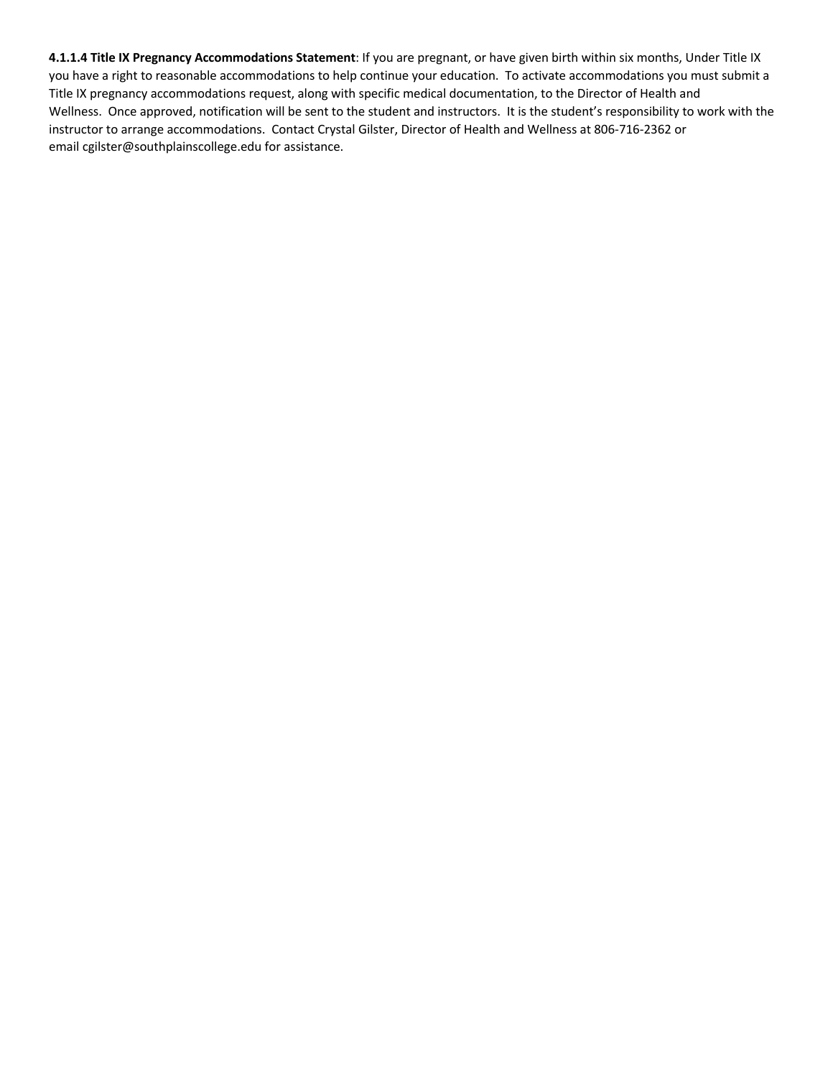**4.1.1.4 Title IX Pregnancy Accommodations Statement**: If you are pregnant, or have given birth within six months, Under Title IX you have a right to reasonable accommodations to help continue your education. To activate accommodations you must submit a Title IX pregnancy accommodations request, along with specific medical documentation, to the Director of Health and Wellness. Once approved, notification will be sent to the student and instructors. It is the student's responsibility to work with the instructor to arrange accommodations. Contact Crystal Gilster, Director of Health and Wellness at 806-716-2362 or email cgilster@southplainscollege.edu for assistance.